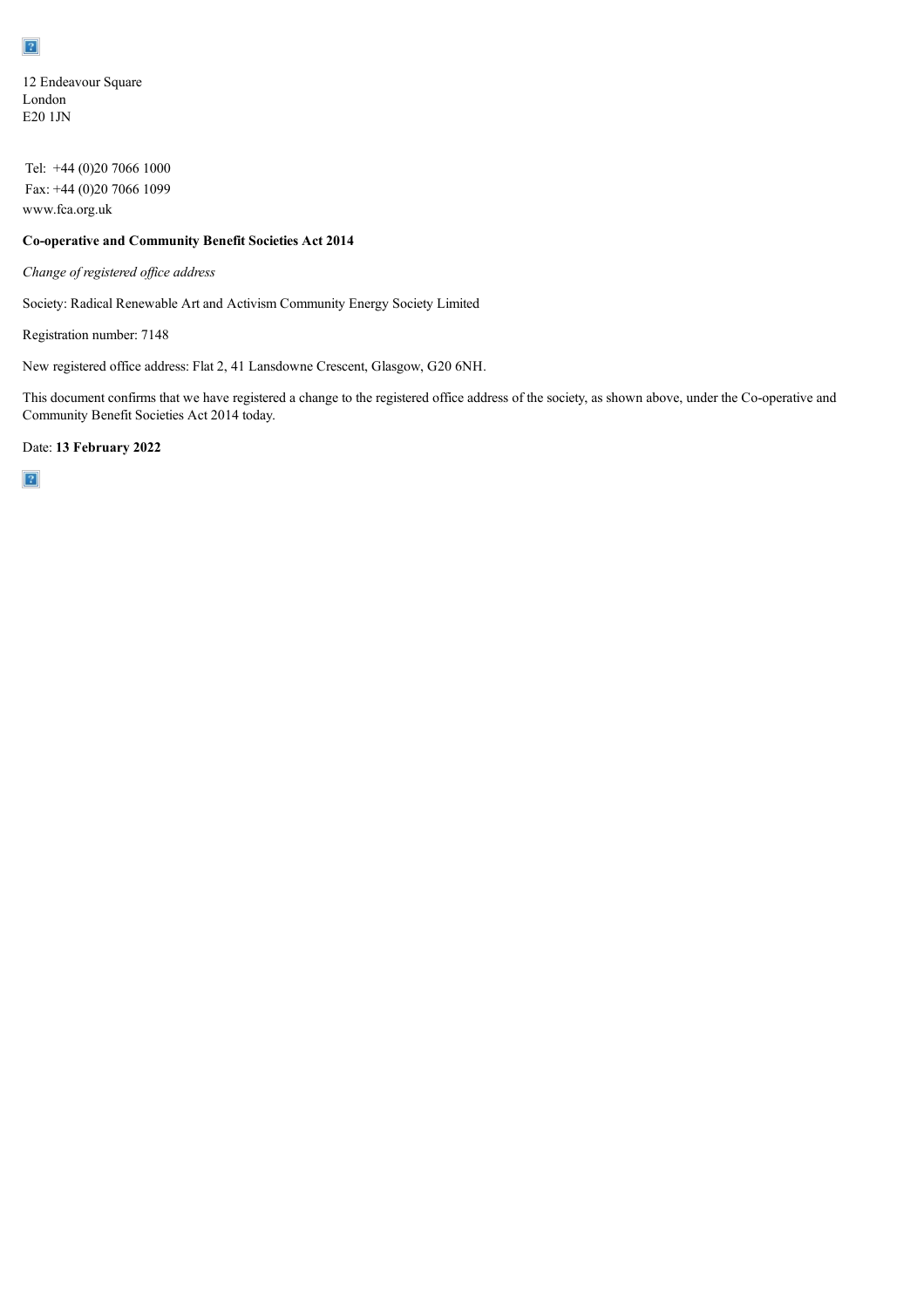12 Endeavour Square London E20 1JN

Tel: +44 (0)20 7066 1000 Fax: +44 (0)20 7066 1099 www.fca.org.uk

## **Co-operative and Community Benefit Societies Act 2014**

*Change of registered of ice address*

Society: Radical Renewable Art and Activism Community Energy Society Limited

Registration number: 7148

New registered office address: Flat 2, 41 Lansdowne Crescent, Glasgow, G20 6NH.

This document confirms that we have registered a change to the registered office address of the society, as shown above, under the Co-operative and Community Benefit Societies Act 2014 today.

Date: **13 February 2022**

 $\overline{?}$